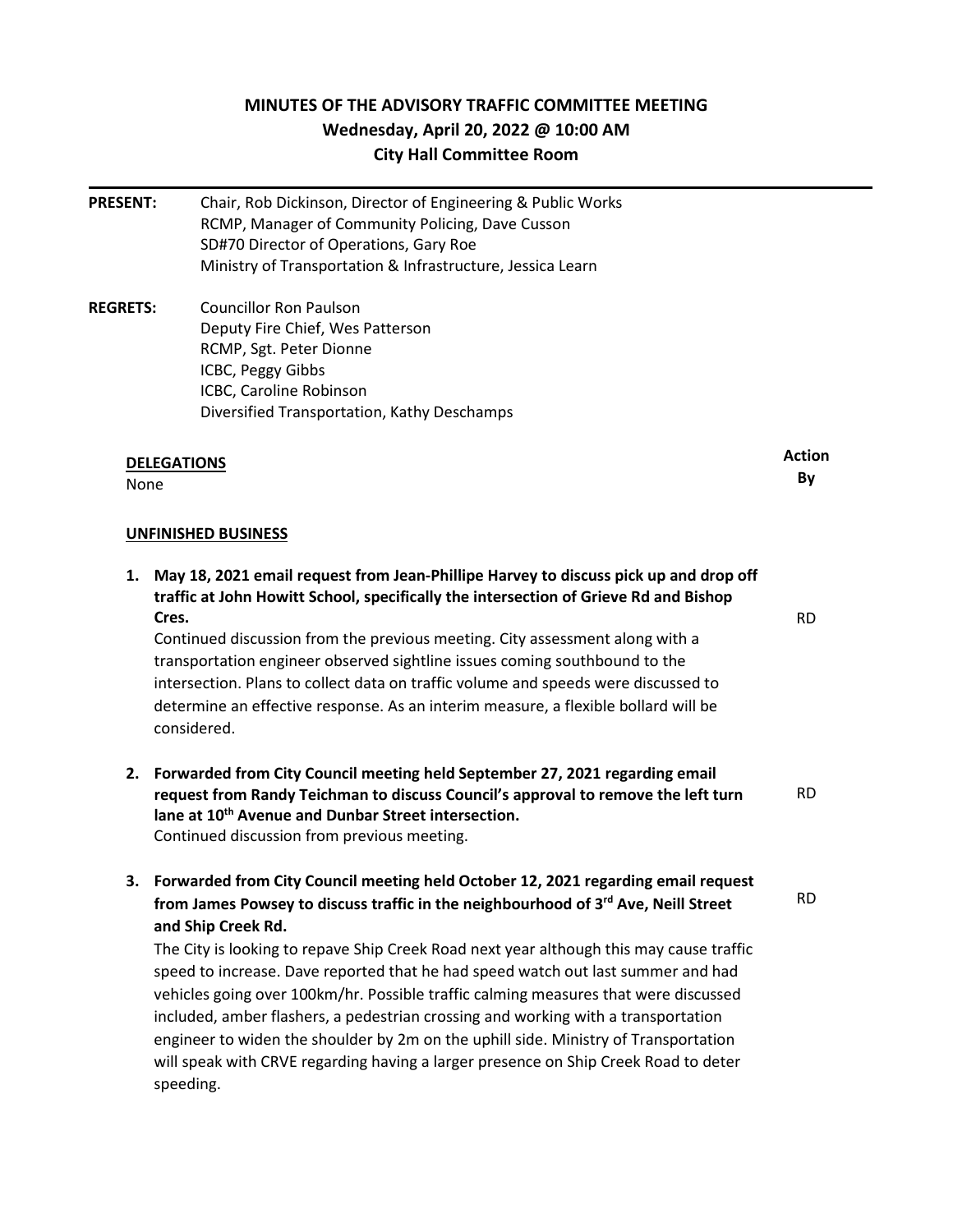# **MINUTES OF THE ADVISORY TRAFFIC COMMITTEE MEETING Wednesday, April 20, 2022 @ 10:00 AM City Hall Committee Room**

**Action By**

- **PRESENT:** Chair, Rob Dickinson, Director of Engineering & Public Works RCMP, Manager of Community Policing, Dave Cusson SD#70 Director of Operations, Gary Roe Ministry of Transportation & Infrastructure, Jessica Learn **REGRETS:** Councillor Ron Paulson
- Deputy Fire Chief, Wes Patterson RCMP, Sgt. Peter Dionne ICBC, Peggy Gibbs ICBC, Caroline Robinson Diversified Transportation, Kathy Deschamps

# **DELEGATIONS**

None

# **UNFINISHED BUSINESS**

**1. May 18, 2021 email request from Jean-Phillipe Harvey to discuss pick up and drop off traffic at John Howitt School, specifically the intersection of Grieve Rd and Bishop Cres.** Continued discussion from the previous meeting. City assessment along with a transportation engineer observed sightline issues coming southbound to the intersection. Plans to collect data on traffic volume and speeds were discussed to determine an effective response. As an interim measure, a flexible bollard will be considered. **2. Forwarded from City Council meeting held September 27, 2021 regarding email request from Randy Teichman to discuss Council's approval to remove the left turn lane at 10th Avenue and Dunbar Street intersection.** Continued discussion from previous meeting. **3. Forwarded from City Council meeting held October 12, 2021 regarding email request from James Powsey to discuss traffic in the neighbourhood of 3rd Ave, Neill Street and Ship Creek Rd.** The City is looking to repave Ship Creek Road next year although this may cause traffic speed to increase. Dave reported that he had speed watch out last summer and had vehicles going over 100km/hr. Possible traffic calming measures that were discussed included, amber flashers, a pedestrian crossing and working with a transportation engineer to widen the shoulder by 2m on the uphill side. Ministry of Transportation will speak with CRVE regarding having a larger presence on Ship Creek Road to deter speeding. RD RD RD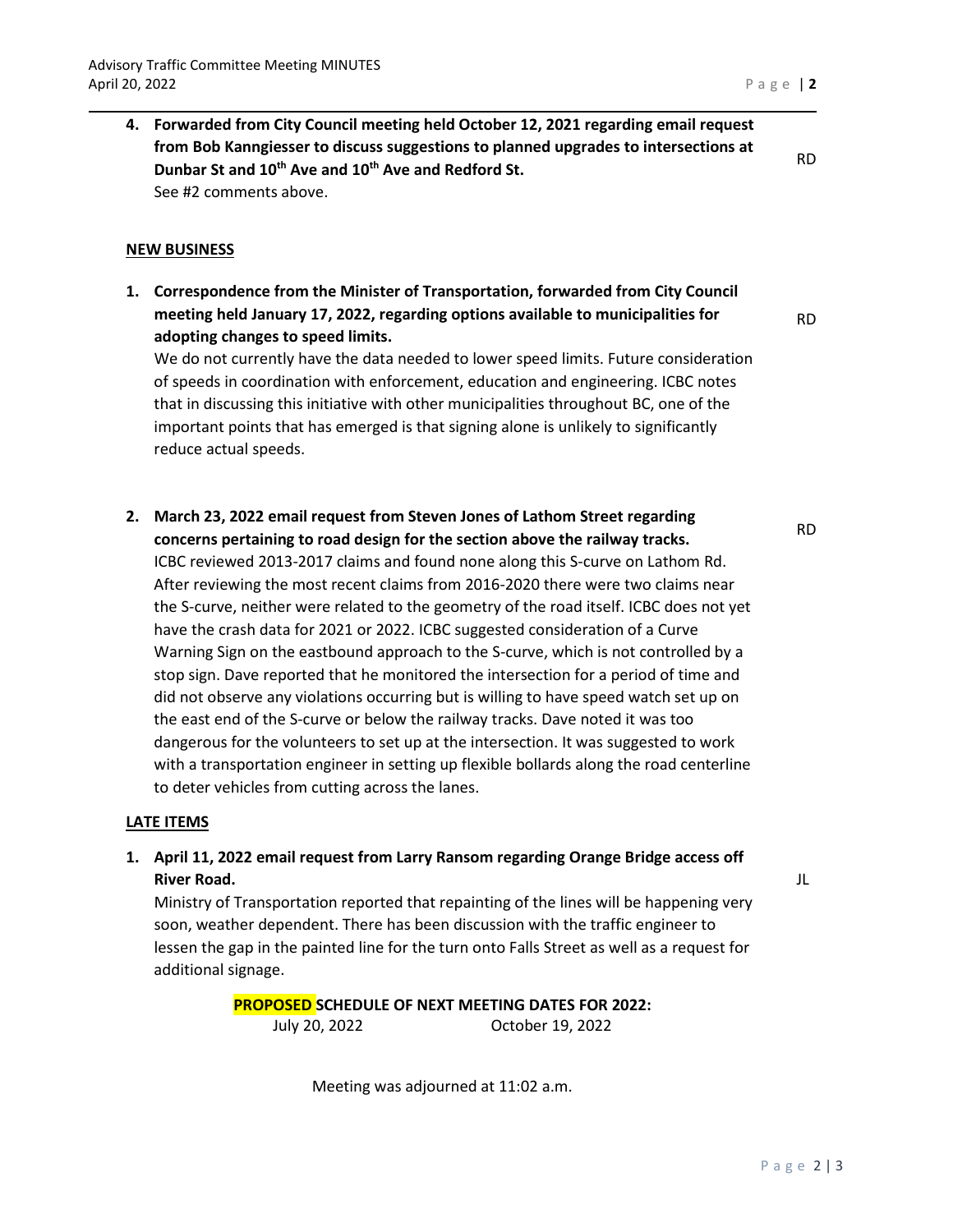**4. Forwarded from City Council meeting held October 12, 2021 regarding email request from Bob Kanngiesser to discuss suggestions to planned upgrades to intersections at Dunbar St and 10th Ave and 10th Ave and Redford St.** See #2 comments above.

#### **NEW BUSINESS**

**1. Correspondence from the Minister of Transportation, forwarded from City Council meeting held January 17, 2022, regarding options available to municipalities for adopting changes to speed limits.**

RD

RD

RD

We do not currently have the data needed to lower speed limits. Future consideration of speeds in coordination with enforcement, education and engineering. ICBC notes that in discussing this initiative with other municipalities throughout BC, one of the important points that has emerged is that signing alone is unlikely to significantly reduce actual speeds.

**2. March 23, 2022 email request from Steven Jones of Lathom Street regarding concerns pertaining to road design for the section above the railway tracks.** ICBC reviewed 2013-2017 claims and found none along this S-curve on Lathom Rd. After reviewing the most recent claims from 2016-2020 there were two claims near the S-curve, neither were related to the geometry of the road itself. ICBC does not yet have the crash data for 2021 or 2022. ICBC suggested consideration of a Curve Warning Sign on the eastbound approach to the S-curve, which is not controlled by a stop sign. Dave reported that he monitored the intersection for a period of time and did not observe any violations occurring but is willing to have speed watch set up on the east end of the S-curve or below the railway tracks. Dave noted it was too dangerous for the volunteers to set up at the intersection. It was suggested to work with a transportation engineer in setting up flexible bollards along the road centerline to deter vehicles from cutting across the lanes.

## **LATE ITEMS**

**1. April 11, 2022 email request from Larry Ransom regarding Orange Bridge access off River Road.**

JL

Ministry of Transportation reported that repainting of the lines will be happening very soon, weather dependent. There has been discussion with the traffic engineer to lessen the gap in the painted line for the turn onto Falls Street as well as a request for additional signage.

> **PROPOSED SCHEDULE OF NEXT MEETING DATES FOR 2022:** July 20, 2022 October 19, 2022

> > Meeting was adjourned at 11:02 a.m.